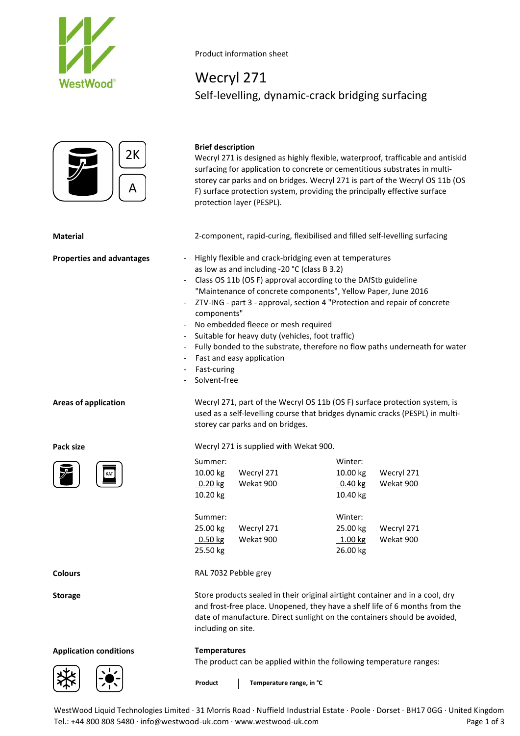





**Application conditions Temperatures**

Product information sheet

# Wecryl 271 Self-levelling, dynamic-crack bridging surfacing

### **Brief description**

Wecryl 271 is designed as highly flexible, waterproof, trafficable and antiskid surfacing for application to concrete or cementitious substrates in multistorey car parks and on bridges. Wecryl 271 is part of the Wecryl OS 11b (OS F) surface protection system, providing the principally effective surface protection layer (PESPL).

**Material** 2-component, rapid-curing, flexibilised and filled self-levelling surfacing

- **Properties and advantages** Highly flexible and crack-bridging even at temperatures as low as and including -20 °C (class B 3.2)
	- Class OS 11b (OS F) approval according to the DAfStb guideline "Maintenance of concrete components", Yellow Paper, June 2016
	- ZTV-ING part 3 approval, section 4 "Protection and repair of concrete components"
	- No embedded fleece or mesh required
	- Suitable for heavy duty (vehicles, foot traffic)
	- Fully bonded to the substrate, therefore no flow paths underneath for water
	- Fast and easy application
	- Fast-curing
	- Solvent-free

**Areas of application** Wecryl 271, part of the Wecryl OS 11b (OS F) surface protection system, is used as a self-levelling course that bridges dynamic cracks (PESPL) in multistorey car parks and on bridges.

**Pack size** Wecryl 271 is supplied with Wekat 900.

| 2К<br>A | protection layer (PESPL).                                                                                                                                                                                                                                                                                                                                                                                                                                                                                                                                                                                                                                                                                                                                                                                                                                                                                                                                                                                                                                                                                                                                                                                                         | Wecryl 271 is designed as highly flexible, waterproof, trafficable a<br>surfacing for application to concrete or cementitious substrates in<br>storey car parks and on bridges. Wecryl 271 is part of the Wecryl<br>F) surface protection system, providing the principally effective su |                                                    |  |  |  |  |  |  |
|---------|-----------------------------------------------------------------------------------------------------------------------------------------------------------------------------------------------------------------------------------------------------------------------------------------------------------------------------------------------------------------------------------------------------------------------------------------------------------------------------------------------------------------------------------------------------------------------------------------------------------------------------------------------------------------------------------------------------------------------------------------------------------------------------------------------------------------------------------------------------------------------------------------------------------------------------------------------------------------------------------------------------------------------------------------------------------------------------------------------------------------------------------------------------------------------------------------------------------------------------------|------------------------------------------------------------------------------------------------------------------------------------------------------------------------------------------------------------------------------------------------------------------------------------------|----------------------------------------------------|--|--|--|--|--|--|
|         | 2-component, rapid-curing, flexibilised and filled self-levelling sur                                                                                                                                                                                                                                                                                                                                                                                                                                                                                                                                                                                                                                                                                                                                                                                                                                                                                                                                                                                                                                                                                                                                                             |                                                                                                                                                                                                                                                                                          |                                                    |  |  |  |  |  |  |
| ntages  | Highly flexible and crack-bridging even at temperatures<br>as low as and including -20 °C (class B 3.2)<br>Class OS 11b (OS F) approval according to the DAfStb guideline<br>"Maintenance of concrete components", Yellow Paper, June 2016<br>ZTV-ING - part 3 - approval, section 4 "Protection and repair of co<br>$\overline{\phantom{a}}$<br>components"<br>No embedded fleece or mesh required<br>$\overline{\phantom{a}}$<br>Suitable for heavy duty (vehicles, foot traffic)<br>Fully bonded to the substrate, therefore no flow paths underneat<br>$\overline{\phantom{a}}$<br>Fast and easy application<br>$\overline{\phantom{a}}$<br>- Fast-curing<br>Solvent-free<br>Wecryl 271, part of the Wecryl OS 11b (OS F) surface protection s<br>used as a self-levelling course that bridges dynamic cracks (PESPL<br>storey car parks and on bridges.<br>Wecryl 271 is supplied with Wekat 900.<br>Summer:<br>10.00 kg<br>Wecryl 271<br>$0.20$ kg<br>Wekat 900<br>10.20 kg<br>Summer:<br>25.00 kg<br>Wecryl 271<br>0.50 kg<br>Wekat 900<br>25.50 kg<br>RAL 7032 Pebble grey<br>Store products sealed in their original airtight container and in a o<br>and frost-free place. Unopened, they have a shelf life of 6 month: | Winter:<br>10.00 kg<br>$0.40$ kg<br>10.40 kg<br>Winter:<br>25.00 kg<br>1.00 kg<br>26.00 kg                                                                                                                                                                                               | Wecryl 271<br>Wekat 900<br>Wecryl 271<br>Wekat 900 |  |  |  |  |  |  |
|         | date of manufacture. Direct sunlight on the containers should be<br>including on site.                                                                                                                                                                                                                                                                                                                                                                                                                                                                                                                                                                                                                                                                                                                                                                                                                                                                                                                                                                                                                                                                                                                                            |                                                                                                                                                                                                                                                                                          |                                                    |  |  |  |  |  |  |
| ns      |                                                                                                                                                                                                                                                                                                                                                                                                                                                                                                                                                                                                                                                                                                                                                                                                                                                                                                                                                                                                                                                                                                                                                                                                                                   | <b>Temperatures</b><br>The product can be applied within the following temperature ran                                                                                                                                                                                                   |                                                    |  |  |  |  |  |  |
|         | Product<br>Temperature range, in °C                                                                                                                                                                                                                                                                                                                                                                                                                                                                                                                                                                                                                                                                                                                                                                                                                                                                                                                                                                                                                                                                                                                                                                                               |                                                                                                                                                                                                                                                                                          |                                                    |  |  |  |  |  |  |

**Colours** RAL 7032 Pebble grey

**Storage** Store products sealed in their original airtight container and in a cool, dry and frost-free place. Unopened, they have a shelf life of 6 months from the date of manufacture. Direct sunlight on the containers should be avoided, including on site.

The product can be applied within the following temperature ranges:

WestWood Liquid Technologies Limited · 31 Morris Road · Nuffield Industrial Estate · Poole · Dorset · BH17 0GG · United Kingdom Tel.: +44 800 808 5480 · info@westwood-uk.com · www.westwood-uk.com **Page 1 of 3** Page 1 of 3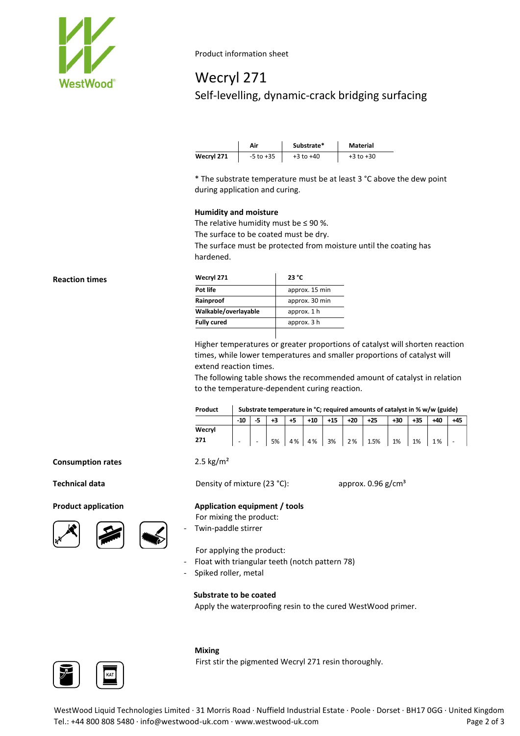

Product information sheet

# Wecryl 271 Self-levelling, dynamic-crack bridging surfacing

|            | Air           | Substrate*    | Material      |
|------------|---------------|---------------|---------------|
| Wecryl 271 | $-5$ to $+35$ | $+3$ to $+40$ | $+3$ to $+30$ |

\* The substrate temperature must be at least 3 °C above the dew point during application and curing.

#### **Humidity and moisture**

The relative humidity must be  $\leq$  90 %.

The surface to be coated must be dry.

The surface must be protected from moisture until the coating has hardened.

| Wecryl 271           | 23 °C          |  |  |  |
|----------------------|----------------|--|--|--|
| Pot life             | approx. 15 min |  |  |  |
| Rainproof            | approx. 30 min |  |  |  |
| Walkable/overlayable | approx. 1 h    |  |  |  |
| <b>Fully cured</b>   | approx. 3 h    |  |  |  |
|                      |                |  |  |  |

Higher temperatures or greater proportions of catalyst will shorten reaction times, while lower temperatures and smaller proportions of catalyst will extend reaction times.

The following table shows the recommended amount of catalyst in relation to the temperature-dependent curing reaction.

| Product | Substrate temperature in $^{\circ}$ C; required amounts of catalyst in % w/w (guide) |                          |    |     |       |       |       |       |     |       |       |     |
|---------|--------------------------------------------------------------------------------------|--------------------------|----|-----|-------|-------|-------|-------|-----|-------|-------|-----|
|         | $-10$                                                                                |                          |    | +5  | $+10$ | $+15$ | $+20$ | $+25$ | +30 | $+35$ | $+40$ | +45 |
| Wecryl  |                                                                                      |                          |    |     |       |       |       |       |     |       |       |     |
| 271     | -                                                                                    | $\overline{\phantom{a}}$ | 5% | 4 % | 4%    | 3%    | 2%    | 1.5%  | 1%  | 1%    | 1%    |     |

### **Consumption rates** 2.





| kg/m<br>∍ |  |
|-----------|--|
|-----------|--|

**Technical data** Density of mixture (23 °C): approx. 0.96 g/cm<sup>3</sup>

#### **Product application Application equipment / tools**

- For mixing the product:
- Twin-paddle stirrer

For applying the product:

- Float with triangular teeth (notch pattern 78)
- Spiked roller, metal

### **Substrate to be coated**

Apply the waterproofing resin to the cured WestWood primer.



#### **Mixing**

First stir the pigmented Wecryl 271 resin thoroughly.

WestWood Liquid Technologies Limited · 31 Morris Road · Nuffield Industrial Estate · Poole · Dorset · BH17 0GG · United Kingdom Tel.: +44 800 808 5480 · info@westwood-uk.com · www.westwood-uk.com **Page 2 of 3** Page 2 of 3

### **Reaction times**